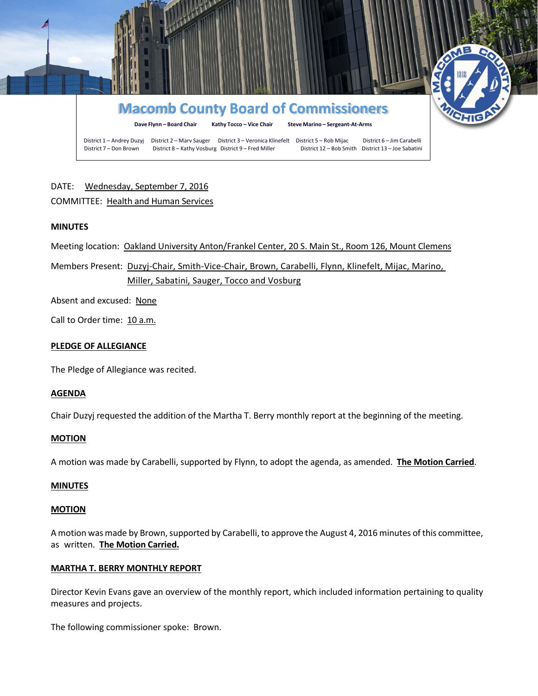

# DATE: Wednesday, September 7, 2016 COMMITTEE: Health and Human Services

## **MINUTES**

Meeting location: Oakland University Anton/Frankel Center, 20 S. Main St., Room 126, Mount Clemens

Members Present: Duzyj-Chair, Smith-Vice-Chair, Brown, Carabelli, Flynn, Klinefelt, Mijac, Marino, Miller, Sabatini, Sauger, Tocco and Vosburg

Absent and excused: None

Call to Order time: 10 a.m.

#### **PLEDGE OF ALLEGIANCE**

The Pledge of Allegiance was recited.

#### **AGENDA**

Chair Duzyj requested the addition of the Martha T. Berry monthly report at the beginning of the meeting.

#### **MOTION**

A motion was made by Carabelli, supported by Flynn, to adopt the agenda, as amended. **The Motion Carried**.

#### **MINUTES**

#### **MOTION**

A motion was made by Brown, supported by Carabelli, to approve the August 4, 2016 minutes of this committee, as written. **The Motion Carried.**

#### **MARTHA T. BERRY MONTHLY REPORT**

Director Kevin Evans gave an overview of the monthly report, which included information pertaining to quality measures and projects.

The following commissioner spoke: Brown.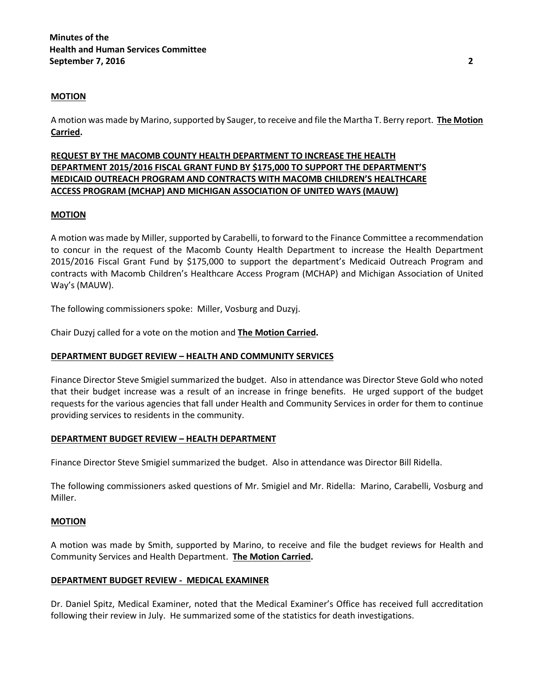#### **MOTION**

A motion was made by Marino, supported by Sauger, to receive and file the Martha T. Berry report. **The Motion Carried.**

# **REQUEST BY THE MACOMB COUNTY HEALTH DEPARTMENT TO INCREASE THE HEALTH DEPARTMENT 2015/2016 FISCAL GRANT FUND BY \$175,000 TO SUPPORT THE DEPARTMENT'S MEDICAID OUTREACH PROGRAM AND CONTRACTS WITH MACOMB CHILDREN'S HEALTHCARE ACCESS PROGRAM (MCHAP) AND MICHIGAN ASSOCIATION OF UNITED WAYS (MAUW)**

## **MOTION**

A motion was made by Miller, supported by Carabelli, to forward to the Finance Committee a recommendation to concur in the request of the Macomb County Health Department to increase the Health Department 2015/2016 Fiscal Grant Fund by \$175,000 to support the department's Medicaid Outreach Program and contracts with Macomb Children's Healthcare Access Program (MCHAP) and Michigan Association of United Way's (MAUW).

The following commissioners spoke: Miller, Vosburg and Duzyj.

Chair Duzyj called for a vote on the motion and **The Motion Carried.**

## **DEPARTMENT BUDGET REVIEW – HEALTH AND COMMUNITY SERVICES**

Finance Director Steve Smigiel summarized the budget. Also in attendance was Director Steve Gold who noted that their budget increase was a result of an increase in fringe benefits. He urged support of the budget requests for the various agencies that fall under Health and Community Services in order for them to continue providing services to residents in the community.

#### **DEPARTMENT BUDGET REVIEW – HEALTH DEPARTMENT**

Finance Director Steve Smigiel summarized the budget. Also in attendance was Director Bill Ridella.

The following commissioners asked questions of Mr. Smigiel and Mr. Ridella: Marino, Carabelli, Vosburg and Miller.

#### **MOTION**

A motion was made by Smith, supported by Marino, to receive and file the budget reviews for Health and Community Services and Health Department. **The Motion Carried.**

#### **DEPARTMENT BUDGET REVIEW - MEDICAL EXAMINER**

Dr. Daniel Spitz, Medical Examiner, noted that the Medical Examiner's Office has received full accreditation following their review in July. He summarized some of the statistics for death investigations.